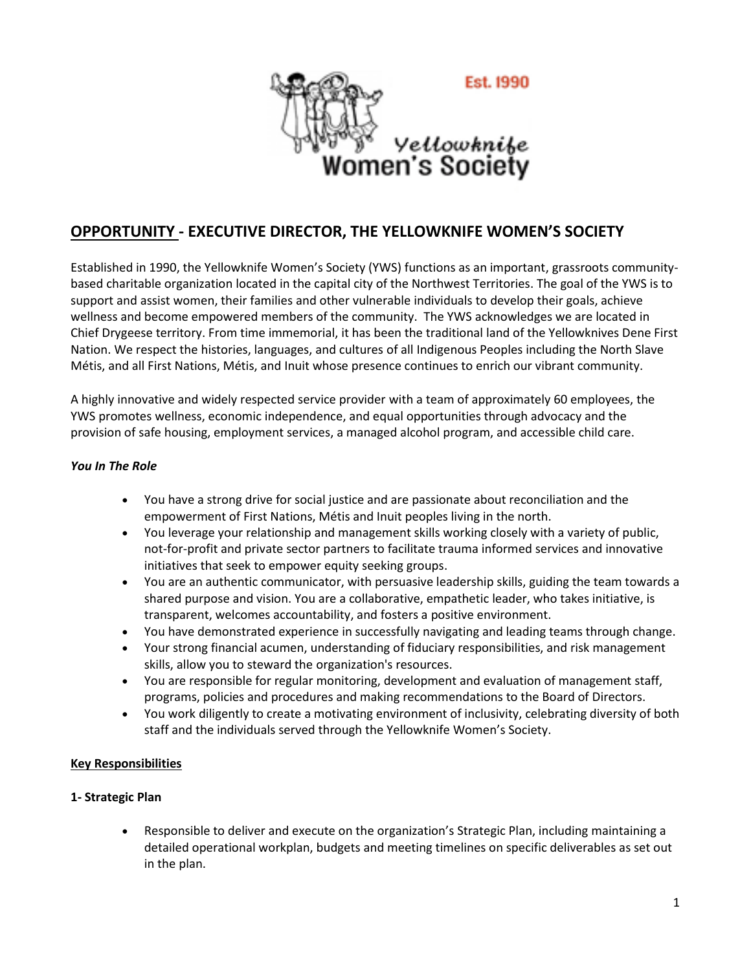

# **OPPORTUNITY - EXECUTIVE DIRECTOR, THE YELLOWKNIFE WOMEN'S SOCIETY**

Established in 1990, the Yellowknife Women's Society (YWS) functions as an important, grassroots communitybased charitable organization located in the capital city of the Northwest Territories. The goal of the YWS is to support and assist women, their families and other vulnerable individuals to develop their goals, achieve wellness and become empowered members of the community. The YWS acknowledges we are located in Chief Drygeese territory. From time immemorial, it has been the traditional land of the Yellowknives Dene First Nation. We respect the histories, languages, and cultures of all Indigenous Peoples including the North Slave Métis, and all First Nations, Métis, and Inuit whose presence continues to enrich our vibrant community.

A highly innovative and widely respected service provider with a team of approximately 60 employees, the YWS promotes wellness, economic independence, and equal opportunities through advocacy and the provision of safe housing, employment services, a managed alcohol program, and accessible child care.

## *You In The Role*

- You have a strong drive for social justice and are passionate about reconciliation and the empowerment of First Nations, Métis and Inuit peoples living in the north.
- You leverage your relationship and management skills working closely with a variety of public, not-for-profit and private sector partners to facilitate trauma informed services and innovative initiatives that seek to empower equity seeking groups.
- You are an authentic communicator, with persuasive leadership skills, guiding the team towards a shared purpose and vision. You are a collaborative, empathetic leader, who takes initiative, is transparent, welcomes accountability, and fosters a positive environment.
- You have demonstrated experience in successfully navigating and leading teams through change.
- Your strong financial acumen, understanding of fiduciary responsibilities, and risk management skills, allow you to steward the organization's resources.
- You are responsible for regular monitoring, development and evaluation of management staff, programs, policies and procedures and making recommendations to the Board of Directors.
- You work diligently to create a motivating environment of inclusivity, celebrating diversity of both staff and the individuals served through the Yellowknife Women's Society.

# **Key Responsibilities**

#### **1- Strategic Plan**

• Responsible to deliver and execute on the organization's Strategic Plan, including maintaining a detailed operational workplan, budgets and meeting timelines on specific deliverables as set out in the plan.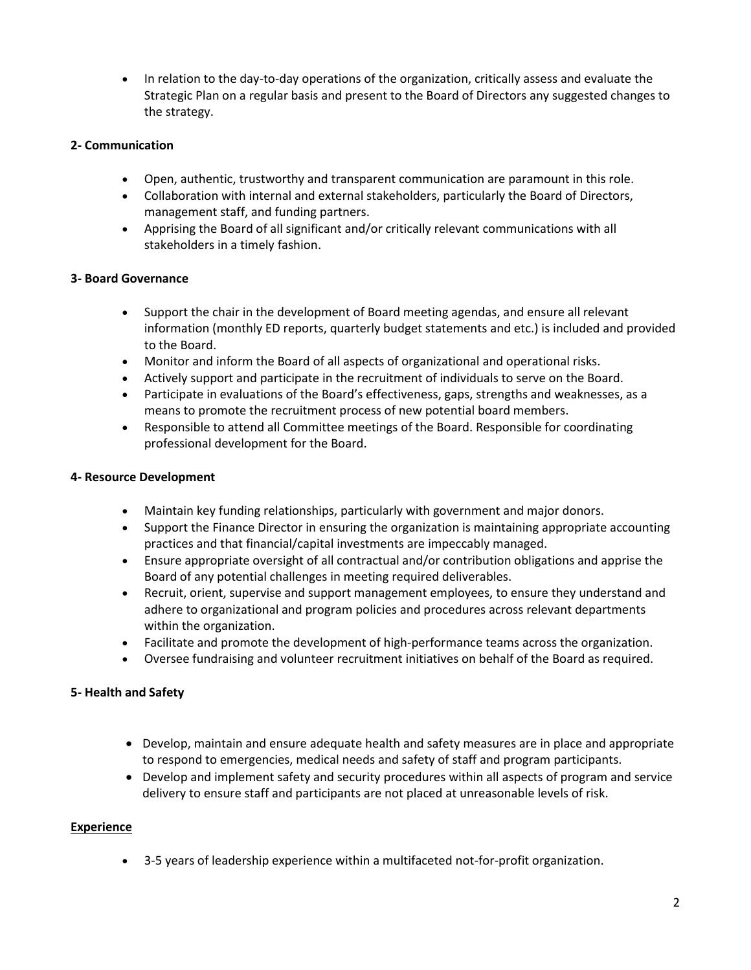• In relation to the day-to-day operations of the organization, critically assess and evaluate the Strategic Plan on a regular basis and present to the Board of Directors any suggested changes to the strategy.

## **2- Communication**

- Open, authentic, trustworthy and transparent communication are paramount in this role.
- Collaboration with internal and external stakeholders, particularly the Board of Directors, management staff, and funding partners.
- Apprising the Board of all significant and/or critically relevant communications with all stakeholders in a timely fashion.

## **3- Board Governance**

- Support the chair in the development of Board meeting agendas, and ensure all relevant information (monthly ED reports, quarterly budget statements and etc.) is included and provided to the Board.
- Monitor and inform the Board of all aspects of organizational and operational risks.
- Actively support and participate in the recruitment of individuals to serve on the Board.
- Participate in evaluations of the Board's effectiveness, gaps, strengths and weaknesses, as a means to promote the recruitment process of new potential board members.
- Responsible to attend all Committee meetings of the Board. Responsible for coordinating professional development for the Board.

## **4- Resource Development**

- Maintain key funding relationships, particularly with government and major donors.
- Support the Finance Director in ensuring the organization is maintaining appropriate accounting practices and that financial/capital investments are impeccably managed.
- Ensure appropriate oversight of all contractual and/or contribution obligations and apprise the Board of any potential challenges in meeting required deliverables.
- Recruit, orient, supervise and support management employees, to ensure they understand and adhere to organizational and program policies and procedures across relevant departments within the organization.
- Facilitate and promote the development of high-performance teams across the organization.
- Oversee fundraising and volunteer recruitment initiatives on behalf of the Board as required.

# **5- Health and Safety**

- Develop, maintain and ensure adequate health and safety measures are in place and appropriate to respond to emergencies, medical needs and safety of staff and program participants.
- Develop and implement safety and security procedures within all aspects of program and service delivery to ensure staff and participants are not placed at unreasonable levels of risk.

#### **Experience**

• 3-5 years of leadership experience within a multifaceted not-for-profit organization.